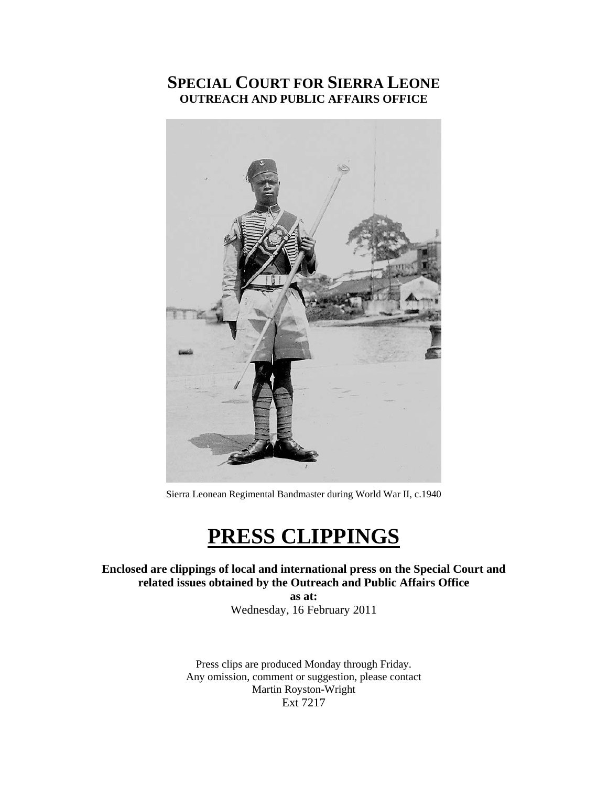## **SPECIAL COURT FOR SIERRA LEONE OUTREACH AND PUBLIC AFFAIRS OFFICE**



Sierra Leonean Regimental Bandmaster during World War II, c.1940

## **PRESS CLIPPINGS**

#### **Enclosed are clippings of local and international press on the Special Court and related issues obtained by the Outreach and Public Affairs Office**

**as at:**  Wednesday, 16 February 2011

Press clips are produced Monday through Friday. Any omission, comment or suggestion, please contact Martin Royston-Wright Ext 7217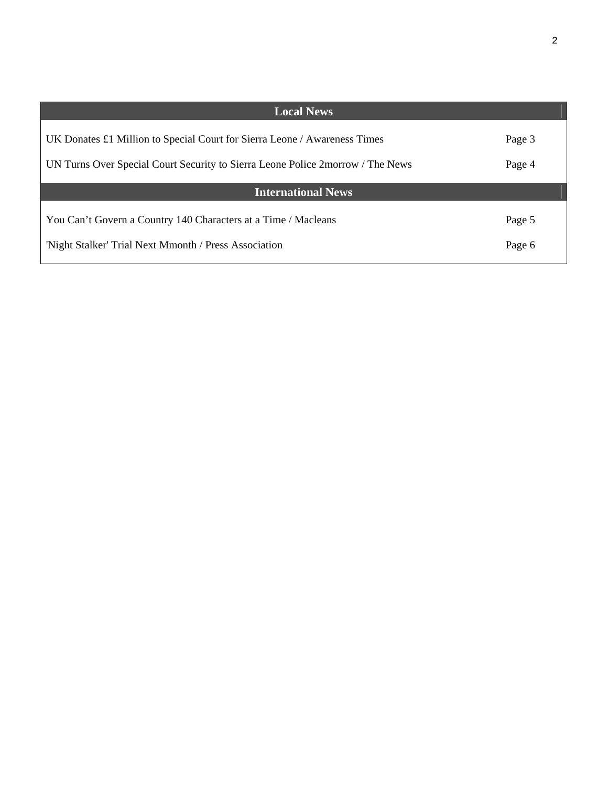| <b>Local News</b>                                                                  |        |
|------------------------------------------------------------------------------------|--------|
| UK Donates $\pounds$ 1 Million to Special Court for Sierra Leone / Awareness Times | Page 3 |
| UN Turns Over Special Court Security to Sierra Leone Police 2morrow / The News     | Page 4 |
| <b>International News</b>                                                          |        |
| You Can't Govern a Country 140 Characters at a Time / Macleans                     | Page 5 |
| 'Night Stalker' Trial Next Mmonth / Press Association                              | Page 6 |
|                                                                                    |        |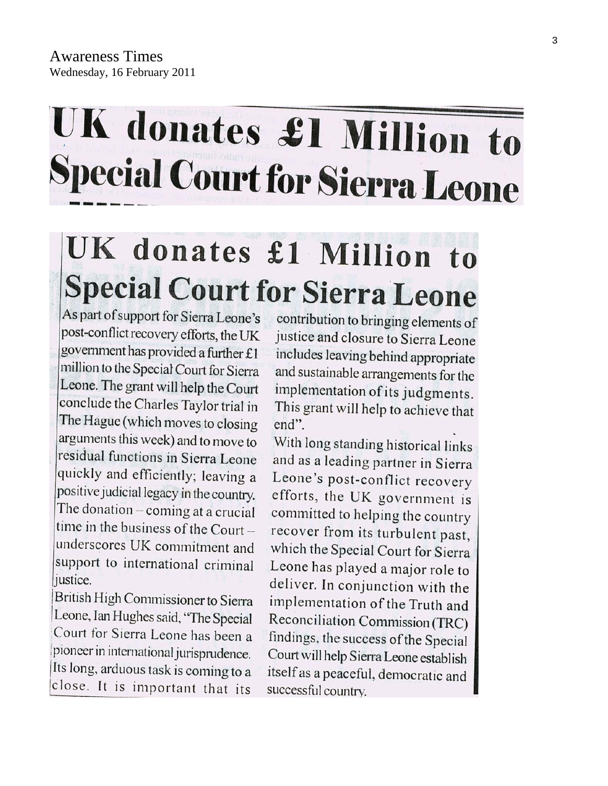# UK donates £1 Million to **Special Court for Sierra Leone**

# UK donates £1 Million to **Special Court for Sierra Leone**

As part of support for Sierra Leone's post-conflict recovery efforts, the UK government has provided a further £1 million to the Special Court for Sierra Leone. The grant will help the Court conclude the Charles Taylor trial in The Hague (which moves to closing arguments this week) and to move to residual functions in Sierra Leone quickly and efficiently; leaving a positive judicial legacy in the country. The donation - coming at a crucial time in the business of the Court underscores UK commitment and support to international criminal justice.

British High Commissioner to Sierra Leone, Ian Hughes said, "The Special Court for Sierra Leone has been a pioneer in international jurisprudence. Its long, arduous task is coming to a close. It is important that its

contribution to bringing elements of justice and closure to Sierra Leone includes leaving behind appropriate and sustainable arrangements for the implementation of its judgments. This grant will help to achieve that end".

With long standing historical links and as a leading partner in Sierra Leone's post-conflict recovery efforts, the UK government is committed to helping the country recover from its turbulent past, which the Special Court for Sierra Leone has played a major role to deliver. In conjunction with the implementation of the Truth and Reconciliation Commission (TRC) findings, the success of the Special Court will help Sierra Leone establish itself as a peaceful, democratic and successful country.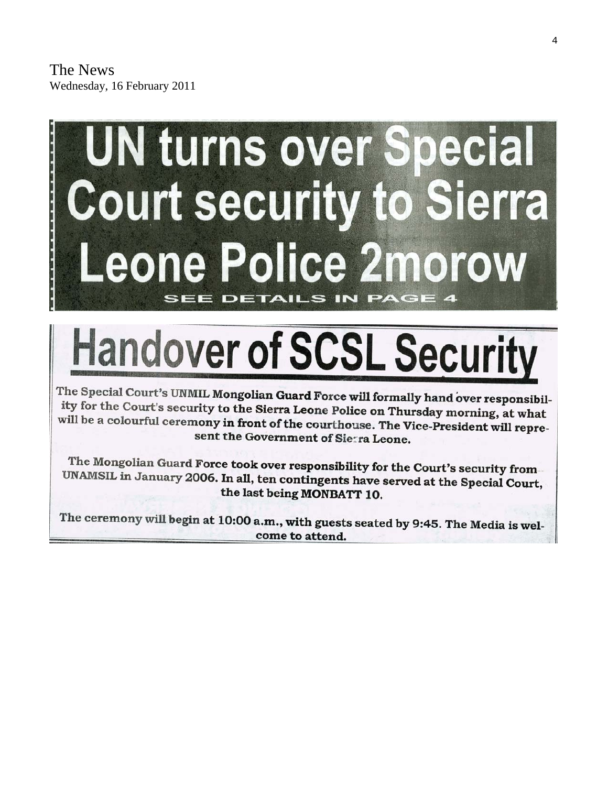# **UN turns over Special Court security to Sierra Leone Police 2morow** IN PAGE **SEE DETAILS**

# **Handover of SCSL Security**

The Special Court's UNMIL Mongolian Guard Force will formally hand over responsibility for the Court's security to the Sierra Leone Police on Thursday morning, at what will be a colourful ceremony in front of the courthouse. The Vice-President will represent the Government of Sierra Leone.

The Mongolian Guard Force took over responsibility for the Court's security from UNAMSIL in January 2006. In all, ten contingents have served at the Special Court, the last being MONBATT 10.

The ceremony will begin at 10:00 a.m., with guests seated by 9:45. The Media is welcome to attend.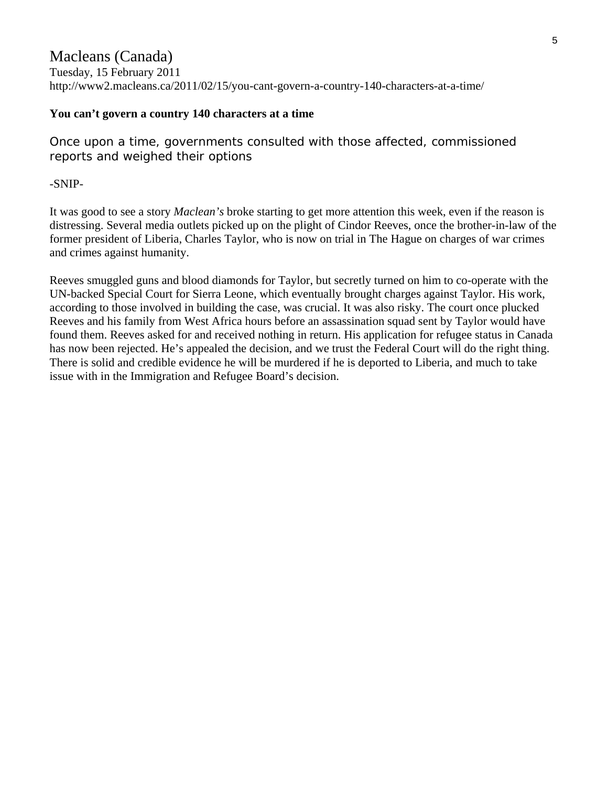### Macleans (Canada)

Tuesday, 15 February 2011 http://www2.macleans.ca/2011/02/15/you-cant-govern-a-country-140-characters-at-a-time/

### **You can't govern a country 140 characters at a time**

Once upon a time, governments consulted with those affected, commissioned reports and weighed their options

-SNIP-

It was good to see a story *Maclean's* broke starting to get more attention this week, even if the reason is distressing. Several media outlets picked up on the plight of Cindor Reeves, once the brother-in-law of the former president of Liberia, Charles Taylor, who is now on trial in The Hague on charges of war crimes and crimes against humanity.

Reeves smuggled guns and blood diamonds for Taylor, but secretly turned on him to co-operate with the UN-backed Special Court for Sierra Leone, which eventually brought charges against Taylor. His work, according to those involved in building the case, was crucial. It was also risky. The court once plucked Reeves and his family from West Africa hours before an assassination squad sent by Taylor would have found them. Reeves asked for and received nothing in return. His application for refugee status in Canada has now been rejected. He's appealed the decision, and we trust the Federal Court will do the right thing. There is solid and credible evidence he will be murdered if he is deported to Liberia, and much to take issue with in the Immigration and Refugee Board's decision.